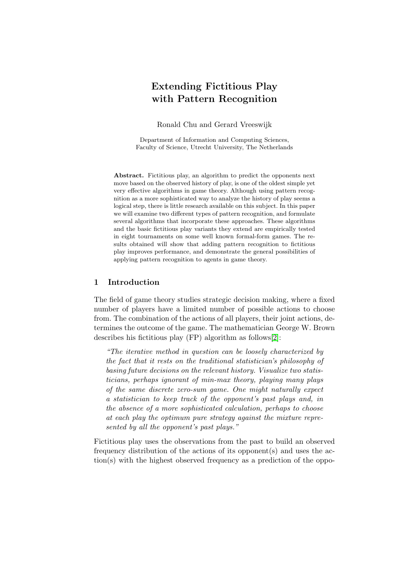# Extending Fictitious Play with Pattern Recognition

Ronald Chu and Gerard Vreeswijk

Department of Information and Computing Sciences, Faculty of Science, Utrecht University, The Netherlands

Abstract. Fictitious play, an algorithm to predict the opponents next move based on the observed history of play, is one of the oldest simple yet very effective algorithms in game theory. Although using pattern recognition as a more sophisticated way to analyze the history of play seems a logical step, there is little research available on this subject. In this paper we will examine two different types of pattern recognition, and formulate several algorithms that incorporate these approaches. These algorithms and the basic fictitious play variants they extend are empirically tested in eight tournaments on some well known formal-form games. The results obtained will show that adding pattern recognition to fictitious play improves performance, and demonstrate the general possibilities of applying pattern recognition to agents in game theory.

## 1 Introduction

The field of game theory studies strategic decision making, where a fixed number of players have a limited number of possible actions to choose from. The combination of the actions of all players, their joint actions, determines the outcome of the game. The mathematician George W. Brown describes his fictitious play (FP) algorithm as follows[\[2\]](#page-12-0):

"The iterative method in question can be loosely characterized by the fact that it rests on the traditional statistician's philosophy of basing future decisions on the relevant history. Visualize two statisticians, perhaps ignorant of min-max theory, playing many plays of the same discrete zero-sum game. One might naturally expect a statistician to keep track of the opponent's past plays and, in the absence of a more sophisticated calculation, perhaps to choose at each play the optimum pure strategy against the mixture represented by all the opponent's past plays."

Fictitious play uses the observations from the past to build an observed frequency distribution of the actions of its opponent(s) and uses the action(s) with the highest observed frequency as a prediction of the oppo-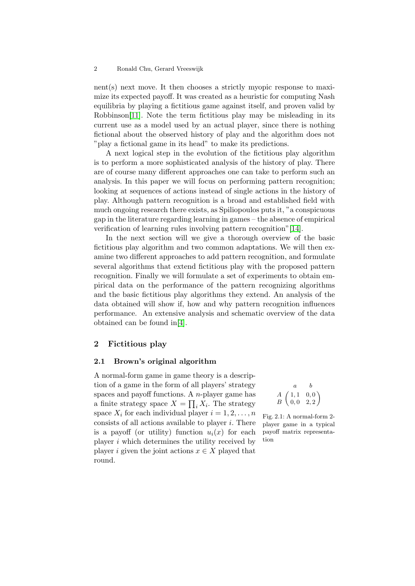nent(s) next move. It then chooses a strictly myopic response to maximize its expected payoff. It was created as a heuristic for computing Nash equilibria by playing a fictitious game against itself, and proven valid by Robbinson[\[11\]](#page-13-0). Note the term fictitious play may be misleading in its current use as a model used by an actual player, since there is nothing fictional about the observed history of play and the algorithm does not "play a fictional game in its head" to make its predictions.

A next logical step in the evolution of the fictitious play algorithm is to perform a more sophisticated analysis of the history of play. There are of course many different approaches one can take to perform such an analysis. In this paper we will focus on performing pattern recognition; looking at sequences of actions instead of single actions in the history of play. Although pattern recognition is a broad and established field with much ongoing research there exists, as Spiliopoulos puts it, "a conspicuous gap in the literature regarding learning in games – the absence of empirical verification of learning rules involving pattern recognition"[\[14\]](#page-13-1).

In the next section will we give a thorough overview of the basic fictitious play algorithm and two common adaptations. We will then examine two different approaches to add pattern recognition, and formulate several algorithms that extend fictitious play with the proposed pattern recognition. Finally we will formulate a set of experiments to obtain empirical data on the performance of the pattern recognizing algorithms and the basic fictitious play algorithms they extend. An analysis of the data obtained will show if, how and why pattern recognition influences performance. An extensive analysis and schematic overview of the data obtained can be found in[\[4\]](#page-13-2).

## 2 Fictitious play

## <span id="page-1-0"></span>2.1 Brown's original algorithm

A normal-form game in game theory is a description of a game in the form of all players' strategy spaces and payoff functions. A *n*-player game has a finite strategy space  $X = \prod_i X_i$ . The strategy space  $X_i$  for each individual player  $i = 1, 2, \ldots, n$ consists of all actions available to player  $i$ . There is a payoff (or utility) function  $u_i(x)$  for each player i which determines the utility received by player i given the joint actions  $x \in X$  played that round.

$$
\begin{array}{cc}\n & a & b \\
A & (1,1 & 0,0) \\
B & 0,0 & 2,2\n\end{array}
$$

Fig. 2.1: A normal-form 2 player game in a typical payoff matrix representation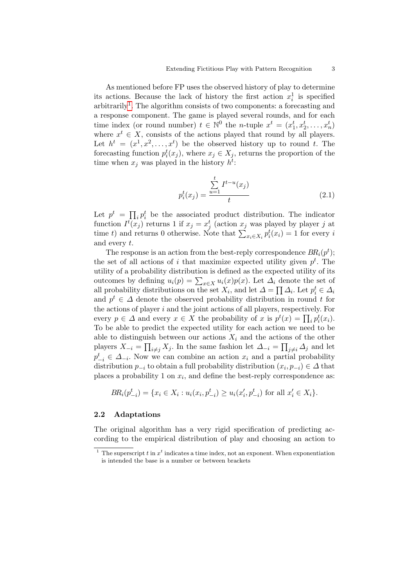As mentioned before FP uses the observed history of play to determine its actions. Because the lack of history the first action  $x_i^1$  is specified arbitrarily<sup>[1](#page-2-0)</sup>. The algorithm consists of two components: a forecasting and a response component. The game is played several rounds, and for each time index (or round number)  $t \in \mathbb{N}^0$  the *n*-tuple  $x^t = (x_1^t, x_2^t, \ldots, x_n^t)$ where  $x^t \in X$ , consists of the actions played that round by all players. Let  $h^t = (x^1, x^2, \dots, x^t)$  be the observed history up to round t. The forecasting function  $p_i^t(x_j)$ , where  $x_j \in X_j$ , returns the proportion of the time when  $x_j$  was played in the history  $h^t$ :

<span id="page-2-1"></span>
$$
p_i^t(x_j) = \frac{\sum_{u=1}^t I^{t-u}(x_j)}{t}
$$
 (2.1)

Let  $p^t = \prod_i p_i^t$  be the associated product distribution. The indicator function  $I^t(x_j)$  returns 1 if  $x_j = x_j^t$  (action  $x_j$  was played by player j at time t) and returns 0 otherwise. Note that  $\sum_{x_i \in X_i} p_i^t(x_i) = 1$  for every i and every t.

The response is an action from the best-reply correspondence  $BR_i(p^t)$ ; the set of all actions of i that maximize expected utility given  $p<sup>t</sup>$ . The utility of a probability distribution is defined as the expected utility of its outcomes by defining  $u_i(p) = \sum_{x \in X} u_i(x)p(x)$ . Let  $\Delta_i$  denote the set of all probability distributions on the set  $X_i$ , and let  $\Delta = \prod \Delta_i$ . Let  $p_i^t \in \Delta_i$ and  $p^t \in \Delta$  denote the observed probability distribution in round t for the actions of player  $i$  and the joint actions of all players, respectively. For every  $p \in \Delta$  and every  $x \in X$  the probability of x is  $p^t(x) = \prod_i p_i^t(x_i)$ . To be able to predict the expected utility for each action we need to be able to distinguish between our actions  $X_i$  and the actions of the other players  $X_{-i} = \prod_{i \neq j} X_j$ . In the same fashion let  $\Delta_{-i} = \prod_{j \neq i} \Delta_j$  and let  $p_{-i}^t \in \Delta_{-i}$ . Now we can combine an action  $x_i$  and a partial probability distribution  $p_{-i}$  to obtain a full probability distribution  $(x_i, p_{-i}) \in \Delta$  that places a probability 1 on  $x_i$ , and define the best-reply correspondence as:

$$
BR_i(p_{-i}^t) = \{ x_i \in X_i : u_i(x_i, p_{-i}^t) \ge u_i(x_i', p_{-i}^t) \text{ for all } x_i' \in X_i \}.
$$

#### 2.2 Adaptations

The original algorithm has a very rigid specification of predicting according to the empirical distribution of play and choosing an action to

<span id="page-2-0"></span><sup>&</sup>lt;sup>1</sup> The superscript t in  $x^t$  indicates a time index, not an exponent. When exponentiation is intended the base is a number or between brackets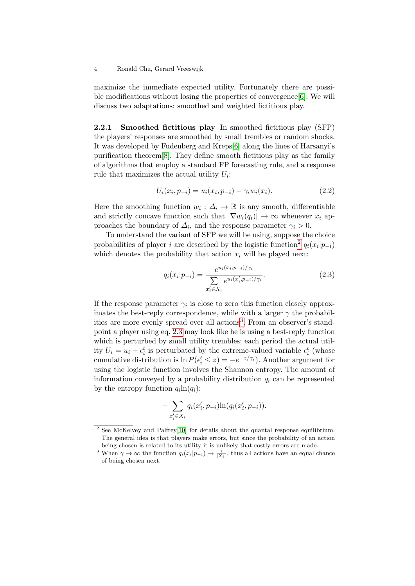maximize the immediate expected utility. Fortunately there are possible modifications without losing the properties of convergence[\[6\]](#page-13-3). We will discuss two adaptations: smoothed and weighted fictitious play.

<span id="page-3-4"></span>2.2.1 Smoothed fictitious play In smoothed fictitious play (SFP) the players' responses are smoothed by small trembles or random shocks. It was developed by Fudenberg and Kreps[\[6\]](#page-13-3) along the lines of Harsanyi's purification theorem[\[8\]](#page-13-4). They define smooth fictitious play as the family of algorithms that employ a standard FP forecasting rule, and a response rule that maximizes the actual utility  $U_i$ :

<span id="page-3-3"></span>
$$
U_i(x_i, p_{-i}) = u_i(x_i, p_{-i}) - \gamma_i w_i(x_i).
$$
\n(2.2)

Here the smoothing function  $w_i: \Delta_i \to \mathbb{R}$  is any smooth, differentiable and strictly concave function such that  $|\nabla w_i(q_i)| \to \infty$  whenever  $x_i$  approaches the boundary of  $\Delta_i$ , and the response parameter  $\gamma_i > 0$ .

To understand the variant of SFP we will be using, suppose the choice probabilities of player i are described by the logistic function<sup>[2](#page-3-0)</sup>  $q_i(x_i|p_{-i})$ which denotes the probability that action  $x_i$  will be played next:

<span id="page-3-2"></span>
$$
q_i(x_i|p_{-i}) = \frac{e^{u_i(x_i, p_{-i})/\gamma_i}}{\sum_{x'_i \in X_i} e^{u_i(x'_i, p_{-i})/\gamma_i}}.
$$
\n(2.3)

If the response parameter  $\gamma_i$  is close to zero this function closely approximates the best-reply correspondence, while with a larger  $\gamma$  the probabil-ities are more evenly spread over all actions<sup>[3](#page-3-1)</sup>. From an observer's standpoint a player using eq. [2.3](#page-3-2) may look like he is using a best-reply function which is perturbed by small utility trembles; each period the actual utility  $U_i = u_i + \epsilon_i^t$  is perturbated by the extreme-valued variable  $\epsilon_i^t$  (whose cumulative distribution is  $\ln P(\epsilon_i^t \leq z) = -e^{-z/\gamma_i}$ . Another argument for using the logistic function involves the Shannon entropy. The amount of information conveyed by a probability distribution  $q_i$  can be represented by the entropy function  $q_i \ln(q_i)$ :

$$
-\sum_{x'_i \in X_i} q_i(x'_i, p_{-i}) \ln(q_i(x'_i, p_{-i})).
$$

<span id="page-3-0"></span><sup>&</sup>lt;sup>2</sup> See McKelvey and Palfrey<sup>[\[10\]](#page-13-5)</sup> for details about the quantal response equilibrium. The general idea is that players make errors, but since the probability of an action being chosen is related to its utility it is unlikely that costly errors are made.

<span id="page-3-1"></span><sup>&</sup>lt;sup>3</sup> When  $\gamma \to \infty$  the function  $q_i(x_i|p_{-i}) \to \frac{1}{|X_i|}$ , thus all actions have an equal chance of being chosen next.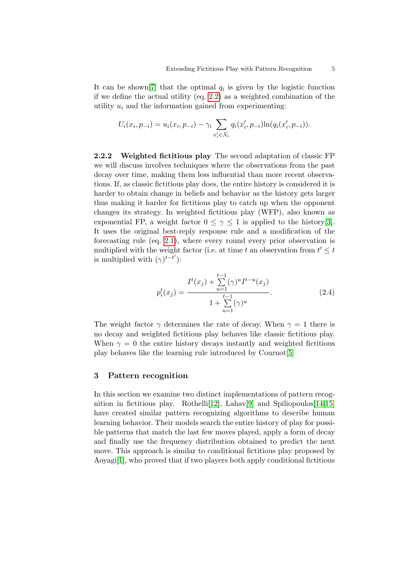It can be shown [\[7\]](#page-13-6) that the optimal  $q_i$  is given by the logistic function if we define the actual utility (eq. [2.2\)](#page-3-3) as a weighted combination of the utility  $u_i$  and the information gained from experimenting:

$$
U_i(x_i, p_{-i}) = u_i(x_i, p_{-i}) - \gamma_i \sum_{x'_i \in X_i} q_i(x'_i, p_{-i}) \ln(q_i(x'_i, p_{-i})).
$$

<span id="page-4-1"></span>2.2.2 Weighted fictitious play The second adaptation of classic FP we will discuss involves techniques where the observations from the past decay over time, making them less influential than more recent observations. If, as classic fictitious play does, the entire history is considered it is harder to obtain change in beliefs and behavior as the history gets larger thus making it harder for fictitious play to catch up when the opponent changes its strategy. In weighted fictitious play (WFP), also known as exponential FP, a weight factor  $0 \leq \gamma \leq 1$  is applied to the history [\[3\]](#page-12-1). It uses the original best-reply response rule and a modification of the forecasting rule (eq. [2.1\)](#page-2-1), where every round every prior observation is multiplied with the weight factor (i.e. at time t an observation from  $t' \leq t$ is multiplied with  $(\gamma)^{t-t'}$ ):

<span id="page-4-0"></span>
$$
p_i^t(x_j) = \frac{I^t(x_j) + \sum_{u=1}^{t-1} (\gamma)^u I^{t-u}(x_j)}{1 + \sum_{u=1}^{t-1} (\gamma)^u}.
$$
 (2.4)

The weight factor  $\gamma$  determines the rate of decay. When  $\gamma = 1$  there is no decay and weighted fictitious play behaves like classic fictitious play. When  $\gamma = 0$  the entire history decays instantly and weighted fictitious play behaves like the learning rule introduced by Cournot[\[5\]](#page-13-7)

#### 3 Pattern recognition

In this section we examine two distinct implementations of pattern recog-nition in fictitious play. Rothelli<sup>[\[12\]](#page-13-8)</sup>, Lahav<sup>[\[9\]](#page-13-9)</sup> and Spiliopoulos<sup>[\[14,](#page-13-1)[15\]](#page-13-10)</sup> have created similar pattern recognizing algorithms to describe human learning behavior. Their models search the entire history of play for possible patterns that match the last few moves played, apply a form of decay and finally use the frequency distribution obtained to predict the next move. This approach is similar to conditional fictitious play proposed by Aoyagi[\[1\]](#page-12-2), who proved that if two players both apply conditional fictitious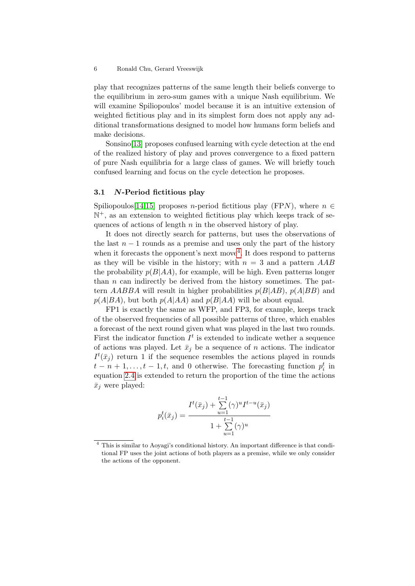play that recognizes patterns of the same length their beliefs converge to the equilibrium in zero-sum games with a unique Nash equilibrium. We will examine Spiliopoulos' model because it is an intuitive extension of weighted fictitious play and in its simplest form does not apply any additional transformations designed to model how humans form beliefs and make decisions.

Sonsino[\[13\]](#page-13-11) proposes confused learning with cycle detection at the end of the realized history of play and proves convergence to a fixed pattern of pure Nash equilibria for a large class of games. We will briefly touch confused learning and focus on the cycle detection he proposes.

#### <span id="page-5-1"></span>3.1 N-Period fictitious play

Spiliopoulos[\[14,](#page-13-1)[15\]](#page-13-10) proposes n-period fictitious play (FPN), where  $n \in$ N <sup>+</sup>, as an extension to weighted fictitious play which keeps track of sequences of actions of length  $n$  in the observed history of play.

It does not directly search for patterns, but uses the observations of the last  $n-1$  rounds as a premise and uses only the part of the history when it forecasts the opponent's next move<sup>[4](#page-5-0)</sup>. It does respond to patterns as they will be visible in the history; with  $n = 3$  and a pattern  $AAB$ the probability  $p(B|AA)$ , for example, will be high. Even patterns longer than  $n$  can indirectly be derived from the history sometimes. The pattern  $AABBA$  will result in higher probabilities  $p(B|AB)$ ,  $p(A|BB)$  and  $p(A|BA)$ , but both  $p(A|AA)$  and  $p(B|AA)$  will be about equal.

FP1 is exactly the same as WFP, and FP3, for example, keeps track of the observed frequencies of all possible patterns of three, which enables a forecast of the next round given what was played in the last two rounds. First the indicator function  $I<sup>t</sup>$  is extended to indicate wether a sequence of actions was played. Let  $\bar{x}_j$  be a sequence of n actions. The indicator  $I^t(\bar{x}_j)$  return 1 if the sequence resembles the actions played in rounds  $t - n + 1, \ldots, t - 1, t$ , and 0 otherwise. The forecasting function  $p_i^t$  in equation [2.4](#page-4-0) is extended to return the proportion of the time the actions  $\bar{x}_i$  were played:

$$
p_i^t(\bar{x}_j) = \frac{I^t(\bar{x}_j) + \sum_{u=1}^{t-1} (\gamma)^u I^{t-u}(\bar{x}_j)}{1 + \sum_{u=1}^{t-1} (\gamma)^u}
$$

<span id="page-5-0"></span><sup>4</sup> This is similar to Aoyagi's conditional history. An important difference is that conditional FP uses the joint actions of both players as a premise, while we only consider the actions of the opponent.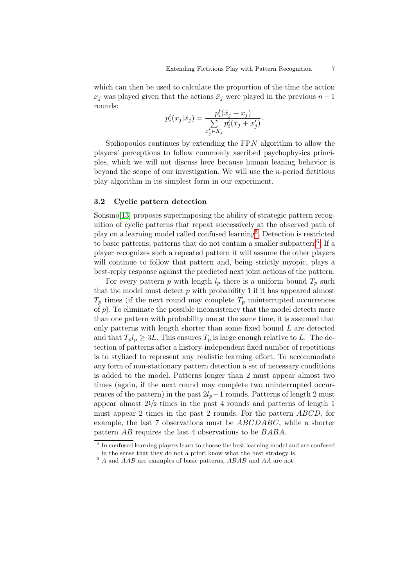which can then be used to calculate the proportion of the time the action  $x_j$  was played given that the actions  $\bar{x}_j$  were played in the previous  $n-1$ rounds:

$$
p_i^t(x_j|\bar{x}_j) = \frac{p_i^t(\bar{x}_j + x_j)}{\sum\limits_{x'_j \in X_j} p_i^t(\bar{x}_j + x'_j)}.
$$

Spiliopoulos continues by extending the FPN algorithm to allow the players' perceptions to follow commonly ascribed psychophysics principles, which we will not discuss here because human leaning behavior is beyond the scope of our investigation. We will use the n-period fictitious play algorithm in its simplest form in our experiment.

## <span id="page-6-2"></span>3.2 Cyclic pattern detection

Sonsino<sup>[\[13\]](#page-13-11)</sup> proposes superimposing the ability of strategic pattern recognition of cyclic patterns that repeat successively at the observed path of play on a learning model called confused learning<sup>[5](#page-6-0)</sup>. Detection is restricted to basic patterns; patterns that do not contain a smaller subpattern<sup>[6](#page-6-1)</sup>. If a player recognizes such a repeated pattern it will assume the other players will continue to follow that pattern and, being strictly myopic, plays a best-reply response against the predicted next joint actions of the pattern.

For every pattern p with length  $l_p$  there is a uniform bound  $T_p$  such that the model must detect  $p$  with probability 1 if it has appeared almost  $T_p$  times (if the next round may complete  $T_p$  uninterrupted occurrences of  $p$ ). To eliminate the possible inconsistency that the model detects more than one pattern with probability one at the same time, it is assumed that only patterns with length shorter than some fixed bound  $L$  are detected and that  $T_p l_p \geq 3L$ . This ensures  $T_p$  is large enough relative to L. The detection of patterns after a history-independent fixed number of repetitions is to stylized to represent any realistic learning effort. To accommodate any form of non-stationary pattern detection a set of necessary conditions is added to the model. Patterns longer than 2 must appear almost two times (again, if the next round may complete two uninterrupted occurrences of the pattern) in the past  $2l_p-1$  rounds. Patterns of length 2 must appear almost  $2^{1/2}$  times in the past 4 rounds and patterns of length 1 must appear 2 times in the past 2 rounds. For the pattern ABCD, for example, the last 7 observations must be ABCDABC, while a shorter pattern AB requires the last 4 observations to be BABA.

<span id="page-6-0"></span><sup>&</sup>lt;sup>5</sup> In confused learning players learn to choose the best learning model and are confused in the sense that they do not a priori know what the best strategy is.

<span id="page-6-1"></span> $6$  A and  $AAB$  are examples of basic patterns,  $ABAB$  and  $AA$  are not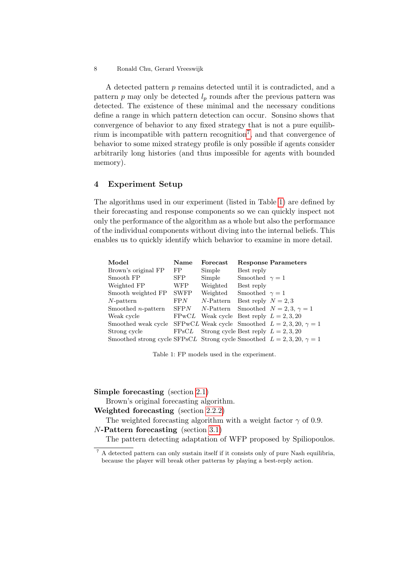A detected pattern p remains detected until it is contradicted, and a pattern  $p$  may only be detected  $l_p$  rounds after the previous pattern was detected. The existence of these minimal and the necessary conditions define a range in which pattern detection can occur. Sonsino shows that convergence of behavior to any fixed strategy that is not a pure equilib-rium is incompatible with pattern recognition<sup>[7](#page-7-0)</sup>, and that convergence of behavior to some mixed strategy profile is only possible if agents consider arbitrarily long histories (and thus impossible for agents with bounded memory).

# 4 Experiment Setup

The algorithms used in our experiment (listed in Table [1\)](#page-7-1) are defined by their forecasting and response components so we can quickly inspect not only the performance of the algorithm as a whole but also the performance of the individual components without diving into the internal beliefs. This enables us to quickly identify which behavior to examine in more detail.

<span id="page-7-1"></span>

| Model                                                                         | Name        | Forecast                                     |                       | <b>Response Parameters</b>                            |
|-------------------------------------------------------------------------------|-------------|----------------------------------------------|-----------------------|-------------------------------------------------------|
| Brown's original FP                                                           | FP          | Simple                                       | Best reply            |                                                       |
| Smooth FP                                                                     | SFP.        | Simple                                       | Smoothed $\gamma = 1$ |                                                       |
| Weighted FP                                                                   | <b>WFP</b>  | Weighted                                     | Best reply            |                                                       |
| Smooth weighted FP                                                            | <b>SWFP</b> | Weighted                                     | Smoothed $\gamma = 1$ |                                                       |
| $N$ -pattern                                                                  | FPN         | $N$ -Pattern                                 | Best reply $N = 2, 3$ |                                                       |
| Smoothed <i>n</i> -pattern                                                    | SFPN        | $N$ -Pattern                                 |                       | Smoothed $N = 2, 3, \gamma = 1$                       |
| Weak cycle                                                                    |             | FPwCL Weak cycle Best reply $L = 2, 3, 20$   |                       |                                                       |
| Smoothed weak cycle                                                           |             |                                              |                       | SFPwCL Weak cycle Smoothed $L = 2, 3, 20, \gamma = 1$ |
| Strong cycle                                                                  |             | FPsCL Strong cycle Best reply $L = 2, 3, 20$ |                       |                                                       |
| Smoothed strong cycle SFPsCL Strong cycle Smoothed $L = 2, 3, 20, \gamma = 1$ |             |                                              |                       |                                                       |

Table 1: FP models used in the experiment.

Simple forecasting (section [2.1\)](#page-1-0)

Brown's original forecasting algorithm.

Weighted forecasting (section [2.2.2\)](#page-4-1)

The weighted forecasting algorithm with a weight factor  $\gamma$  of 0.9. N-Pattern forecasting (section [3.1\)](#page-5-1)

The pattern detecting adaptation of WFP proposed by Spiliopoulos.

<sup>8</sup> Ronald Chu, Gerard Vreeswijk

<span id="page-7-0"></span> $\frac{7}{4}$  A detected pattern can only sustain itself if it consists only of pure Nash equilibria, because the player will break other patterns by playing a best-reply action.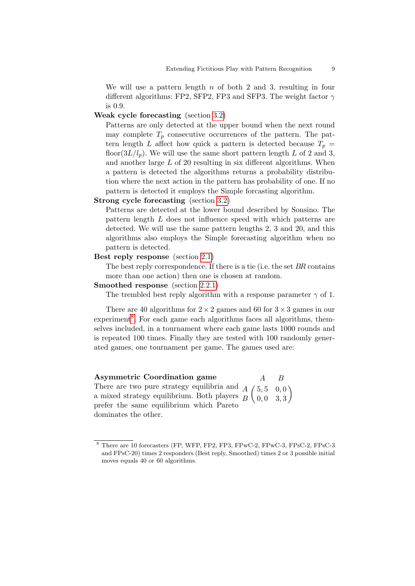We will use a pattern length  $n$  of both 2 and 3, resulting in four different algorithms: FP2, SFP2, FP3 and SFP3. The weight factor  $\gamma$ is 0.9.

## Weak cycle forecasting (section [3.2\)](#page-6-2)

Patterns are only detected at the upper bound when the next round may complete  $T_p$  consecutive occurrences of the pattern. The pattern length L affect how quick a pattern is detected because  $T_p =$ floor( $3L/l_p$ ). We will use the same short pattern length L of 2 and 3, and another large L of 20 resulting in six different algorithms. When a pattern is detected the algorithms returns a probability distribution where the next action in the pattern has probability of one. If no pattern is detected it employs the Simple forcasting algorithm.

### Strong cycle forecasting (section [3.2\)](#page-6-2)

Patterns are detected at the lower bound described by Sonsino. The pattern length L does not influence speed with which patterns are detected. We will use the same pattern lengths 2, 3 and 20, and this algorithms also employs the Simple forecasting algorithm when no pattern is detected.

## Best reply response (section [2.1\)](#page-1-0)

The best reply correspondence. If there is a tie (i.e. the set BR contains more than one action) then one is chosen at random.

# Smoothed response (section [2.2.1\)](#page-3-4)

The trembled best reply algorithm with a response parameter  $\gamma$  of 1.

There are 40 algorithms for  $2 \times 2$  games and 60 for  $3 \times 3$  games in our experiment<sup>[8](#page-8-0)</sup>. For each game each algorithms faces all algorithms, themselves included, in a tournament where each game lasts 1000 rounds and is repeated 100 times. Finally they are tested with 100 randomly generated games, one tournament per game. The games used are:

Asymmetric Coordination game There are two pure strategy equilibria and  $\overline{A}$   $\overline{A}$ a mixed strategy equilibrium. Both players prefer the same equilibrium which Pareto dominates the other. A B  $A(5, 5, 0, 0)$  $B \ (0,0,3,3)$  $\setminus$ 

<span id="page-8-0"></span><sup>8</sup> There are 10 forecasters (FP, WFP, FP2, FP3, FPwC-2, FPwC-3, FPsC-2, FPsC-3 and FPsC-20) times 2 responders (Best reply, Smoothed) times 2 or 3 possible initial moves equals 40 or 60 algorithms.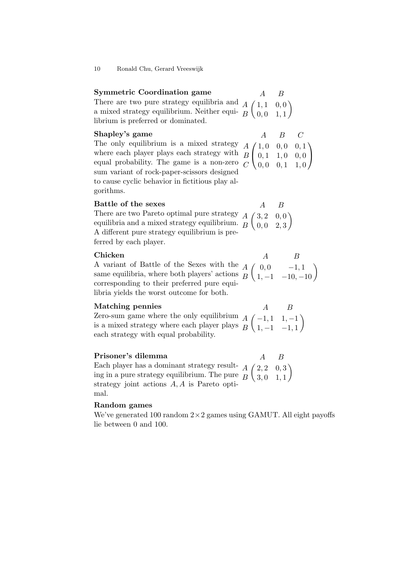| <b>Symmetric Coordination game</b>                                                                                                                                                                        | $\overline{A}$ | — В |
|-----------------------------------------------------------------------------------------------------------------------------------------------------------------------------------------------------------|----------------|-----|
| There are two pure strategy equilibria and $A\begin{pmatrix} 1,1 & 0,0 \\ 0,0 & 1,1 \end{pmatrix}$<br>a mixed strategy equilibrium. Neither equi- $B\begin{pmatrix} 1,1 & 0,0 \\ 0,0 & 1,1 \end{pmatrix}$ |                |     |
|                                                                                                                                                                                                           |                |     |
| librium is preferred or dominated.                                                                                                                                                                        |                |     |

#### Shapley's game

 $A$   $B$   $C$ 

The only equilibrium is a mixed strategy where each player plays each strategy with equal probability. The game is a non-zero sum variant of rock-paper-scissors designed to cause cyclic behavior in fictitious play algorithms.  $\sqrt{ }$  $\overline{1}$  $A \big/ 1, 0 \big. 0, 0 \big. 0, 1$  $B \begin{bmatrix} 0, 1 & 1, 0 & 0, 0 \end{bmatrix}$  $C \setminus 0, 0 \quad 0, 1 \quad 1, 0$  $\setminus$  $\overline{1}$ 

Battle of the sexes There are two Pareto optimal pure strategy equilibria and a mixed strategy equilibrium. A different pure strategy equilibrium is preferred by each player.  $\sqrt{ }$ A B  $A \big/ \,3, 2 \,0, 0$  $B \ (0,0,2,3)$  $\setminus$ 

# Chicken

A variant of Battle of the Sexes with the same equilibria, where both players' actions corresponding to their preferred pure equilibria yields the worst outcome for both.

 $\sqrt{ }$  $\begin{pmatrix} 0 & -1, 1 \\ 1, -1 & -10, -10 \end{pmatrix}$ 

A B

#### Matching pennies

Zero-sum game where the only equilibrium is a mixed strategy where each player plays each strategy with equal probability.  $A \left( -1, 1 \quad 1, -1 \right)$ A B  $B \setminus 1, -1 \quad -1, 1$  $\setminus$ 

## Prisoner's dilemma

Each player has a dominant strategy resulting in a pure strategy equilibrium. The pure strategy joint actions A, A is Pareto optimal.  $\sqrt{ }$ A B  $A(2, 2, 0, 3)$  $B \{3, 0 \quad 1, 1$  $\setminus$ 

### Random games

We've generated 100 random  $2 \times 2$  games using GAMUT. All eight payoffs lie between 0 and 100.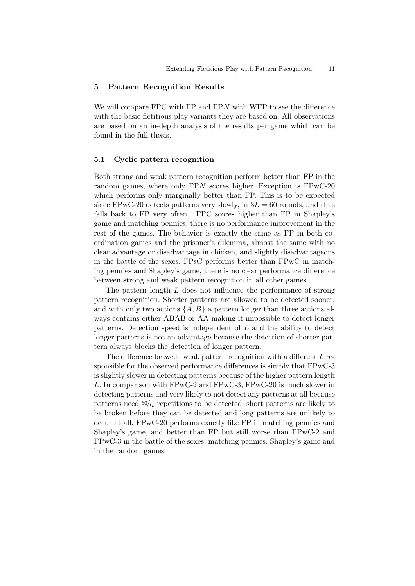## 5 Pattern Recognition Results

We will compare FPC with FP and FPN with WFP to see the difference with the basic fictitious play variants they are based on. All observations are based on an in-depth analysis of the results per game which can be found in the full thesis.

#### 5.1 Cyclic pattern recognition

Both strong and weak pattern recognition perform better than FP in the random games, where only FPN scores higher. Exception is FPwC-20 which performs only marginally better than FP. This is to be expected since FPwC-20 detects patterns very slowly, in  $3L = 60$  rounds, and thus falls back to FP very often. FPC scores higher than FP in Shapley's game and matching pennies, there is no performance improvement in the rest of the games. The behavior is exactly the same as FP in both coordination games and the prisoner's dilemma, almost the same with no clear advantage or disadvantage in chicken, and slightly disadvantageous in the battle of the sexes. FPsC performs better than FPwC in matching pennies and Shapley's game, there is no clear performance difference between strong and weak pattern recognition in all other games.

The pattern length L does not influence the performance of strong pattern recognition. Shorter patterns are allowed to be detected sooner, and with only two actions  $\{A, B\}$  a pattern longer than three actions always contains either ABAB or AA making it impossible to detect longer patterns. Detection speed is independent of  $L$  and the ability to detect longer patterns is not an advantage because the detection of shorter pattern always blocks the detection of longer pattern.

The difference between weak pattern recognition with a different L responsible for the observed performance differences is simply that FPwC-3 is slightly slower in detecting patterns because of the higher pattern length L. In comparison with FPwC-2 and FPwC-3, FPwC-20 is much slower in detecting patterns and very likely to not detect any patterns at all because patterns need  $60/l_p$  repetitions to be detected; short patterns are likely to be broken before they can be detected and long patterns are unlikely to occur at all. FPwC-20 performs exactly like FP in matching pennies and Shapley's game, and better than FP but still worse than FPwC-2 and FPwC-3 in the battle of the sexes, matching pennies, Shapley's game and in the random games.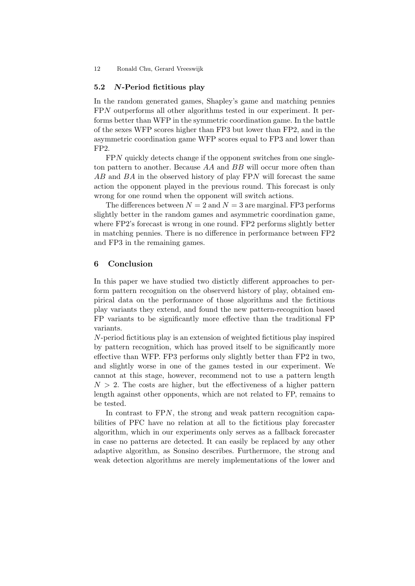## 5.2 N-Period fictitious play

In the random generated games, Shapley's game and matching pennies FPN outperforms all other algorithms tested in our experiment. It performs better than WFP in the symmetric coordination game. In the battle of the sexes WFP scores higher than FP3 but lower than FP2, and in the asymmetric coordination game WFP scores equal to FP3 and lower than FP2.

FPN quickly detects change if the opponent switches from one singleton pattern to another. Because AA and BB will occur more often than AB and BA in the observed history of play FPN will forecast the same action the opponent played in the previous round. This forecast is only wrong for one round when the opponent will switch actions.

The differences between  $N = 2$  and  $N = 3$  are marginal. FP3 performs slightly better in the random games and asymmetric coordination game, where FP2's forecast is wrong in one round. FP2 performs slightly better in matching pennies. There is no difference in performance between FP2 and FP3 in the remaining games.

## 6 Conclusion

In this paper we have studied two distictly different approaches to perform pattern recognition on the observerd history of play, obtained empirical data on the performance of those algorithms and the fictitious play variants they extend, and found the new pattern-recognition based FP variants to be significantly more effective than the traditional FP variants.

N-period fictitious play is an extension of weighted fictitious play inspired by pattern recognition, which has proved itself to be significantly more effective than WFP. FP3 performs only slightly better than FP2 in two, and slightly worse in one of the games tested in our experiment. We cannot at this stage, however, recommend not to use a pattern length  $N > 2$ . The costs are higher, but the effectiveness of a higher pattern length against other opponents, which are not related to FP, remains to be tested.

In contrast to FPN, the strong and weak pattern recognition capabilities of PFC have no relation at all to the fictitious play forecaster algorithm, which in our experiments only serves as a fallback forecaster in case no patterns are detected. It can easily be replaced by any other adaptive algorithm, as Sonsino describes. Furthermore, the strong and weak detection algorithms are merely implementations of the lower and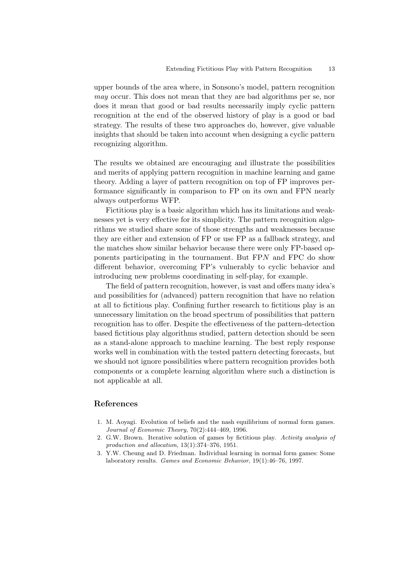upper bounds of the area where, in Sonsono's model, pattern recognition may occur. This does not mean that they are bad algorithms per se, nor does it mean that good or bad results necessarily imply cyclic pattern recognition at the end of the observed history of play is a good or bad strategy. The results of these two approaches do, however, give valuable insights that should be taken into account when designing a cyclic pattern recognizing algorithm.

The results we obtained are encouraging and illustrate the possibilities and merits of applying pattern recognition in machine learning and game theory. Adding a layer of pattern recognition on top of FP improves performance significantly in comparison to FP on its own and FPN nearly always outperforms WFP.

Fictitious play is a basic algorithm which has its limitations and weaknesses yet is very effective for its simplicity. The pattern recognition algorithms we studied share some of those strengths and weaknesses because they are either and extension of FP or use FP as a fallback strategy, and the matches show similar behavior because there were only FP-based opponents participating in the tournament. But FPN and FPC do show different behavior, overcoming FP's vulnerably to cyclic behavior and introducing new problems coordinating in self-play, for example.

The field of pattern recognition, however, is vast and offers many idea's and possibilities for (advanced) pattern recognition that have no relation at all to fictitious play. Confining further research to fictitious play is an unnecessary limitation on the broad spectrum of possibilities that pattern recognition has to offer. Despite the effectiveness of the pattern-detection based fictitious play algorithms studied, pattern detection should be seen as a stand-alone approach to machine learning. The best reply response works well in combination with the tested pattern detecting forecasts, but we should not ignore possibilities where pattern recognition provides both components or a complete learning algorithm where such a distinction is not applicable at all.

# References

- <span id="page-12-2"></span>1. M. Aoyagi. Evolution of beliefs and the nash equilibrium of normal form games. Journal of Economic Theory, 70(2):444–469, 1996.
- <span id="page-12-0"></span>2. G.W. Brown. Iterative solution of games by fictitious play. Activity analysis of production and allocation, 13(1):374–376, 1951.
- <span id="page-12-1"></span>3. Y.W. Cheung and D. Friedman. Individual learning in normal form games: Some laboratory results. Games and Economic Behavior, 19(1):46–76, 1997.